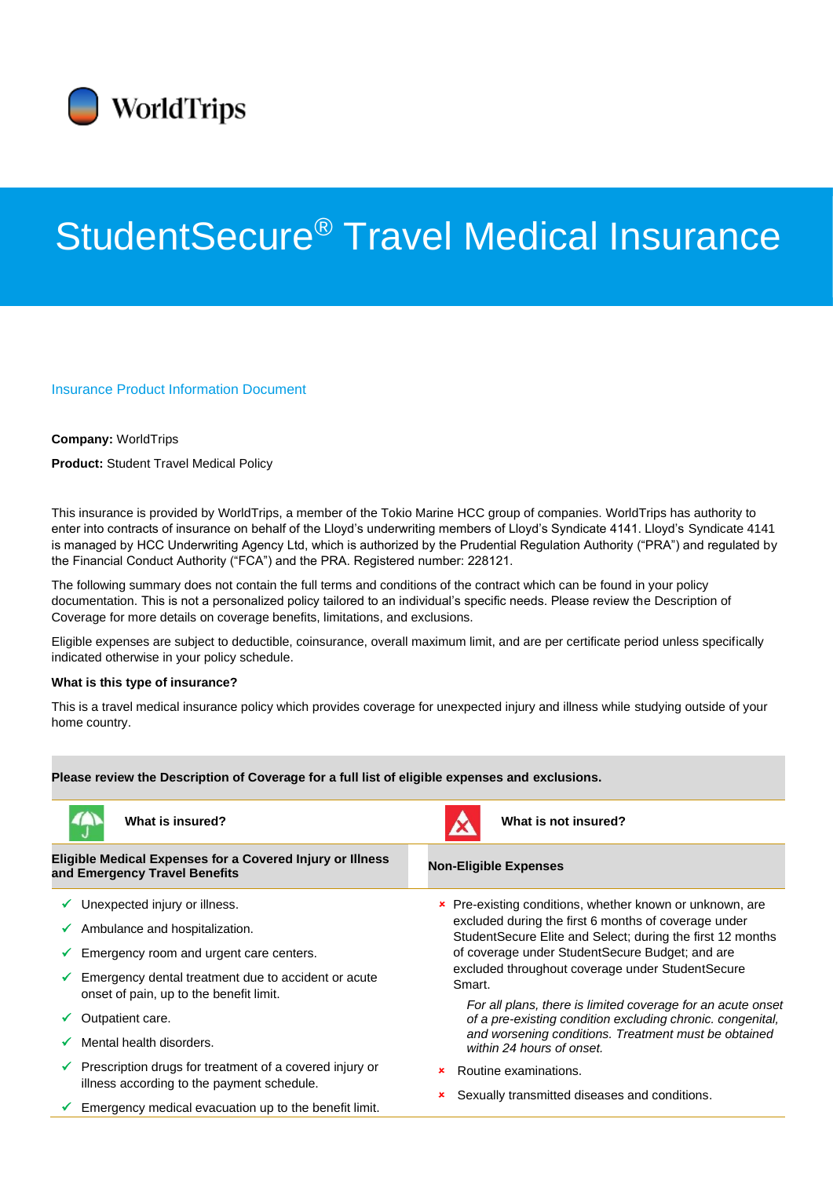

# StudentSecure® Travel Medical Insurance

#### Insurance Product Information Document

## **Company:** WorldTrips

**Product:** Student Travel Medical Policy

This insurance is provided by WorldTrips, a member of the Tokio Marine HCC group of companies. WorldTrips has authority to enter into contracts of insurance on behalf of the Lloyd's underwriting members of Lloyd's Syndicate 4141. Lloyd's Syndicate 4141 is managed by HCC Underwriting Agency Ltd, which is authorized by the Prudential Regulation Authority ("PRA") and regulated by the Financial Conduct Authority ("FCA") and the PRA. Registered number: 228121.

The following summary does not contain the full terms and conditions of the contract which can be found in your policy documentation. This is not a personalized policy tailored to an individual's specific needs. Please review the Description of Coverage for more details on coverage benefits, limitations, and exclusions.

Eligible expenses are subject to deductible, coinsurance, overall maximum limit, and are per certificate period unless specifically indicated otherwise in your policy schedule.

#### **What is this type of insurance?**

This is a travel medical insurance policy which provides coverage for unexpected injury and illness while studying outside of your home country.

### **Please review the Description of Coverage for a full list of eligible expenses and exclusions.**

| What is insured?                                                                                      | What is not insured?                                                                                                                                                                                                                                                                                                                                                                                                                                                                                                       |
|-------------------------------------------------------------------------------------------------------|----------------------------------------------------------------------------------------------------------------------------------------------------------------------------------------------------------------------------------------------------------------------------------------------------------------------------------------------------------------------------------------------------------------------------------------------------------------------------------------------------------------------------|
| <b>Eligible Medical Expenses for a Covered Injury or Illness</b><br>and Emergency Travel Benefits     | <b>Non-Eligible Expenses</b>                                                                                                                                                                                                                                                                                                                                                                                                                                                                                               |
| Unexpected injury or illness.                                                                         | <b>*</b> Pre-existing conditions, whether known or unknown, are<br>excluded during the first 6 months of coverage under<br>Student Secure Elite and Select; during the first 12 months<br>of coverage under Student Secure Budget; and are<br>excluded throughout coverage under StudentSecure<br>Smart.<br>For all plans, there is limited coverage for an acute onset<br>of a pre-existing condition excluding chronic. congenital,<br>and worsening conditions. Treatment must be obtained<br>within 24 hours of onset. |
| Ambulance and hospitalization.                                                                        |                                                                                                                                                                                                                                                                                                                                                                                                                                                                                                                            |
| Emergency room and urgent care centers.                                                               |                                                                                                                                                                                                                                                                                                                                                                                                                                                                                                                            |
| Emergency dental treatment due to accident or acute<br>onset of pain, up to the benefit limit.        |                                                                                                                                                                                                                                                                                                                                                                                                                                                                                                                            |
| Outpatient care.                                                                                      |                                                                                                                                                                                                                                                                                                                                                                                                                                                                                                                            |
| Mental health disorders.                                                                              |                                                                                                                                                                                                                                                                                                                                                                                                                                                                                                                            |
| Prescription drugs for treatment of a covered injury or<br>illness according to the payment schedule. | Routine examinations.<br>×<br>Sexually transmitted diseases and conditions.                                                                                                                                                                                                                                                                                                                                                                                                                                                |
| Emergency medical evacuation up to the benefit limit.                                                 |                                                                                                                                                                                                                                                                                                                                                                                                                                                                                                                            |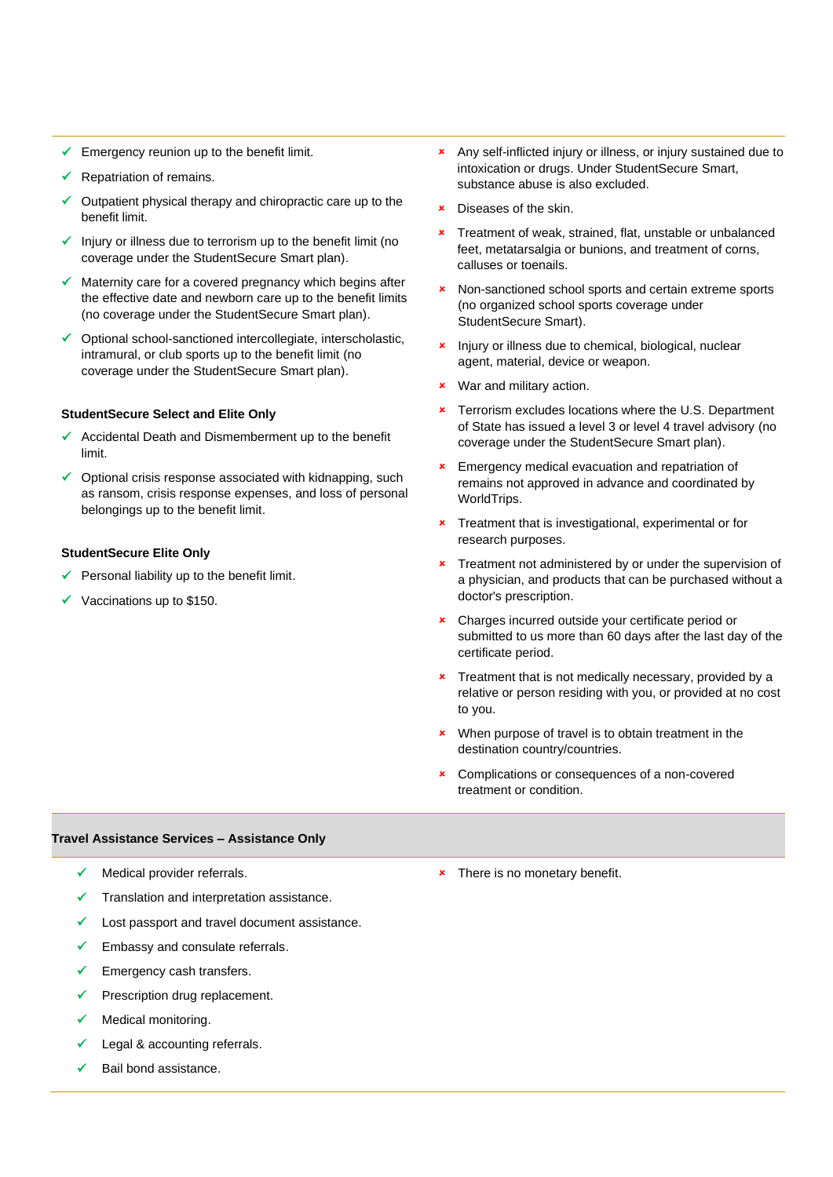- $\checkmark$  Emergency reunion up to the benefit limit.
- $\checkmark$  Repatriation of remains.
- Outpatient physical therapy and chiropractic care up to the benefit limit.
- $\checkmark$  Injury or illness due to terrorism up to the benefit limit (no coverage under the StudentSecure Smart plan).
- Maternity care for a covered pregnancy which begins after the effective date and newborn care up to the benefit limits (no coverage under the StudentSecure Smart plan).
- $\checkmark$  Optional school-sanctioned intercollegiate, interscholastic, intramural, or club sports up to the benefit limit (no coverage under the StudentSecure Smart plan).

## **StudentSecure Select and Elite Only**

- $\checkmark$  Accidental Death and Dismemberment up to the benefit limit.
- $\checkmark$  Optional crisis response associated with kidnapping, such as ransom, crisis response expenses, and loss of personal belongings up to the benefit limit.

## **StudentSecure Elite Only**

- $\checkmark$  Personal liability up to the benefit limit.
- Vaccinations up to \$150.
- Any self-inflicted injury or illness, or injury sustained due to intoxication or drugs. Under StudentSecure Smart, substance abuse is also excluded.
- Diseases of the skin.
- Treatment of weak, strained, flat, unstable or unbalanced feet, metatarsalgia or bunions, and treatment of corns, calluses or toenails.
- **\*** Non-sanctioned school sports and certain extreme sports (no organized school sports coverage under StudentSecure Smart).
- Injury or illness due to chemical, biological, nuclear agent, material, device or weapon.
- \* War and military action.
- **\*** Terrorism excludes locations where the U.S. Department of State has issued a level 3 or level 4 travel advisory (no coverage under the StudentSecure Smart plan).
- **EX** Emergency medical evacuation and repatriation of remains not approved in advance and coordinated by WorldTrips.
- **\*** Treatment that is investigational, experimental or for research purposes.
- **\*** Treatment not administered by or under the supervision of a physician, and products that can be purchased without a doctor's prescription.
- **\*** Charges incurred outside your certificate period or submitted to us more than 60 days after the last day of the certificate period.
- **\*** Treatment that is not medically necessary, provided by a relative or person residing with you, or provided at no cost to you.
- **\*** When purpose of travel is to obtain treatment in the destination country/countries.
- **x** Complications or consequences of a non-covered treatment or condition.

#### **Travel Assistance Services – Assistance Only**

- Medical provider referrals.
- Translation and interpretation assistance.
- Lost passport and travel document assistance.
- Embassy and consulate referrals.
- ✓ Emergency cash transfers.
- Prescription drug replacement.
- Medical monitoring.
- Legal & accounting referrals.
- Bail bond assistance.

**\*** There is no monetary benefit.